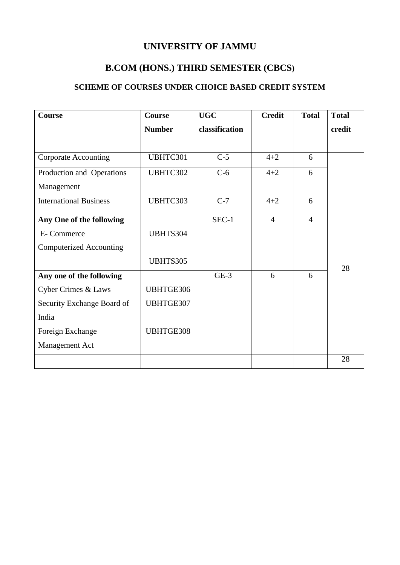# **UNIVERSITY OF JAMMU**

# **B.COM (HONS.) THIRD SEMESTER (CBCS)**

# **SCHEME OF COURSES UNDER CHOICE BASED CREDIT SYSTEM**

| <b>Course</b>                  | <b>Course</b> | <b>UGC</b>     | <b>Credit</b>  | <b>Total</b>   | <b>Total</b> |
|--------------------------------|---------------|----------------|----------------|----------------|--------------|
|                                | <b>Number</b> | classification |                |                | credit       |
|                                |               |                |                |                |              |
| <b>Corporate Accounting</b>    | UBHTC301      | $C-5$          | $4 + 2$        | 6              |              |
| Production and Operations      | UBHTC302      | $C-6$          | $4 + 2$        | 6              |              |
| Management                     |               |                |                |                |              |
| <b>International Business</b>  | UBHTC303      | $C-7$          | $4 + 2$        | 6              |              |
| Any One of the following       |               | SEC-1          | $\overline{4}$ | $\overline{4}$ |              |
| E-Commerce                     | UBHTS304      |                |                |                |              |
| <b>Computerized Accounting</b> |               |                |                |                |              |
|                                | UBHTS305      |                |                |                | 28           |
| Any one of the following       |               | $GE-3$         | 6              | 6              |              |
| <b>Cyber Crimes &amp; Laws</b> | UBHTGE306     |                |                |                |              |
| Security Exchange Board of     | UBHTGE307     |                |                |                |              |
| India                          |               |                |                |                |              |
| Foreign Exchange               | UBHTGE308     |                |                |                |              |
| Management Act                 |               |                |                |                |              |
|                                |               |                |                |                | 28           |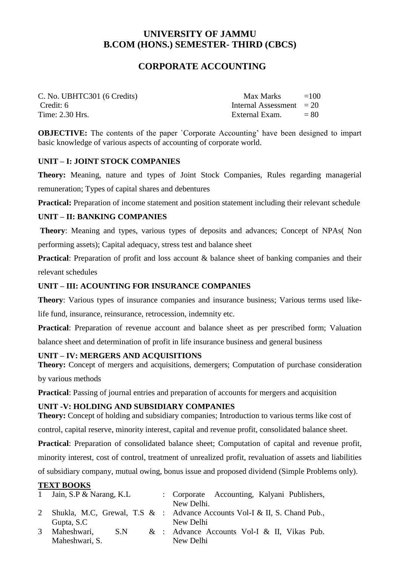# **CORPORATE ACCOUNTING**

| C. No. UBHTC301 (6 Credits) | Max Marks                  | $=100$ |
|-----------------------------|----------------------------|--------|
| Credit: 6                   | Internal Assessment $= 20$ |        |
| Time: 2.30 Hrs.             | External Exam.             | $= 80$ |

**OBJECTIVE:** The contents of the paper `Corporate Accounting' have been designed to impart basic knowledge of various aspects of accounting of corporate world.

### **UNIT – I: JOINT STOCK COMPANIES**

**Theory:** Meaning, nature and types of Joint Stock Companies, Rules regarding managerial remuneration; Types of capital shares and debentures

**Practical:** Preparation of income statement and position statement including their relevant schedule

### **UNIT – II: BANKING COMPANIES**

**Theory**: Meaning and types, various types of deposits and advances; Concept of NPAs( Non performing assets); Capital adequacy, stress test and balance sheet

**Practical:** Preparation of profit and loss account & balance sheet of banking companies and their relevant schedules

# **UNIT – III: ACOUNTING FOR INSURANCE COMPANIES**

**Theory**: Various types of insurance companies and insurance business; Various terms used likelife fund, insurance, reinsurance, retrocession, indemnity etc.

**Practical**: Preparation of revenue account and balance sheet as per prescribed form; Valuation balance sheet and determination of profit in life insurance business and general business

# **UNIT – IV: MERGERS AND ACQUISITIONS**

**Theory:** Concept of mergers and acquisitions, demergers: Computation of purchase consideration

by various methods

**Practical:** Passing of journal entries and preparation of accounts for mergers and acquisition

# **UNIT -V: HOLDING AND SUBSIDIARY COMPANIES**

**Theory:** Concept of holding and subsidiary companies; Introduction to various terms like cost of control, capital reserve, minority interest, capital and revenue profit, consolidated balance sheet.

**Practical**: Preparation of consolidated balance sheet; Computation of capital and revenue profit, minority interest, cost of control, treatment of unrealized profit, revaluation of assets and liabilities of subsidiary company, mutual owing, bonus issue and proposed dividend (Simple Problems only).

# **TEXT BOOKS**

|   | 1 Jain, S.P & Narang, K.L | : Corporate Accounting, Kalyani Publishers,                                |
|---|---------------------------|----------------------------------------------------------------------------|
|   |                           | New Delhi.                                                                 |
|   |                           | 2 Shukla, M.C. Grewal, T.S & : Advance Accounts Vol-I & II, S. Chand Pub., |
|   | Gupta, S.C                | New Delhi                                                                  |
| 3 | Maheshwari,<br>S.N        | & : Advance Accounts Vol-I & II, Vikas Pub.                                |
|   | Maheshwari, S.            | New Delhi                                                                  |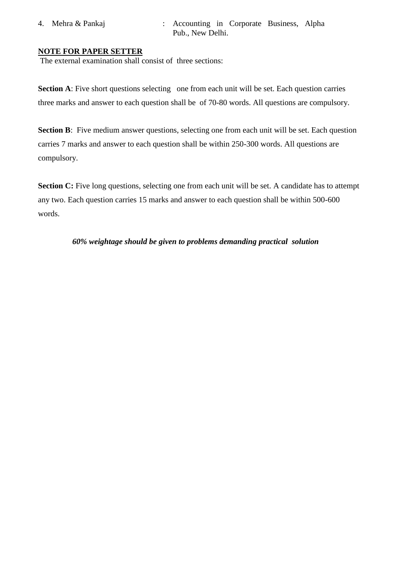- 
- 4. Mehra & Pankaj : Accounting in Corporate Business, Alpha Pub., New Delhi.

#### **NOTE FOR PAPER SETTER**

The external examination shall consist of three sections:

**Section A**: Five short questions selecting one from each unit will be set. Each question carries three marks and answer to each question shall be of 70-80 words. All questions are compulsory.

**Section B**: Five medium answer questions, selecting one from each unit will be set. Each question carries 7 marks and answer to each question shall be within 250-300 words. All questions are compulsory.

**Section C:** Five long questions, selecting one from each unit will be set. A candidate has to attempt any two. Each question carries 15 marks and answer to each question shall be within 500-600 words.

 *60% weightage should be given to problems demanding practical solution*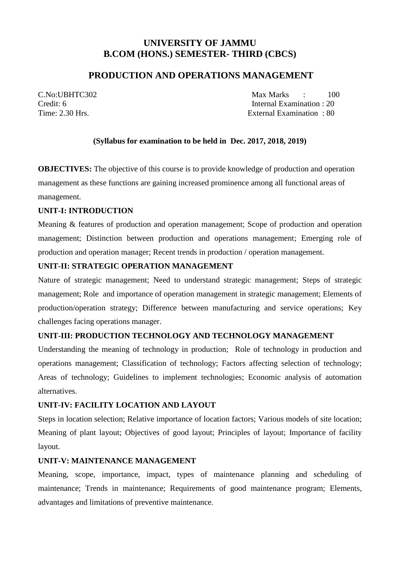# **PRODUCTION AND OPERATIONS MANAGEMENT**

C.No:UBHTC302 Max Marks : 100 Credit: 6 Internal Examination : 20 Time: 2.30 Hrs. External Examination : 80

# **(Syllabus for examination to be held in Dec. 2017, 2018, 2019)**

**OBJECTIVES:** The objective of this course is to provide knowledge of production and operation management as these functions are gaining increased prominence among all functional areas of management.

# **UNIT-I: INTRODUCTION**

Meaning & features of production and operation management; Scope of production and operation management; Distinction between production and operations management; Emerging role of production and operation manager; Recent trends in production / operation management.

#### **UNIT-II: STRATEGIC OPERATION MANAGEMENT**

Nature of strategic management; Need to understand strategic management; Steps of strategic management; Role and importance of operation management in strategic management; Elements of production/operation strategy; Difference between manufacturing and service operations; Key challenges facing operations manager.

# **UNIT-III: PRODUCTION TECHNOLOGY AND TECHNOLOGY MANAGEMENT**

Understanding the meaning of technology in production; Role of technology in production and operations management; Classification of technology; Factors affecting selection of technology; Areas of technology; Guidelines to implement technologies; Economic analysis of automation alternatives.

# **UNIT-IV: FACILITY LOCATION AND LAYOUT**

Steps in location selection; Relative importance of location factors; Various models of site location; Meaning of plant layout; Objectives of good layout; Principles of layout; Importance of facility layout.

# **UNIT-V: MAINTENANCE MANAGEMENT**

Meaning, scope, importance, impact, types of maintenance planning and scheduling of maintenance; Trends in maintenance; Requirements of good maintenance program; Elements, advantages and limitations of preventive maintenance.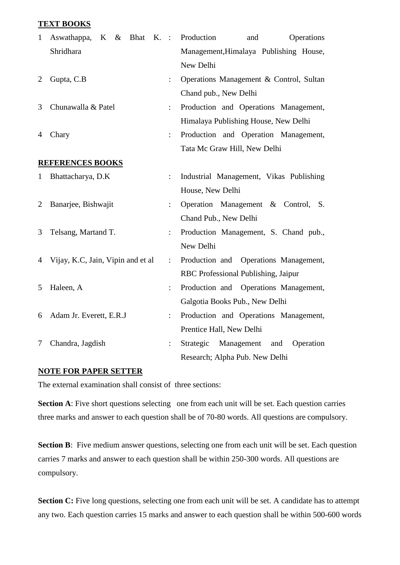#### **TEXT BOOKS**

| $\mathbf{1}$ | $\&$<br>Bhat K. :<br>Aswathappa,<br>$K_{\perp}$ |                | Production<br>and<br>Operations          |
|--------------|-------------------------------------------------|----------------|------------------------------------------|
|              | Shridhara                                       |                | Management, Himalaya Publishing House,   |
|              |                                                 |                | New Delhi                                |
| 2            | Gupta, C.B                                      | ÷              | Operations Management & Control, Sultan  |
|              |                                                 |                | Chand pub., New Delhi                    |
| 3            | Chunawalla & Patel                              | $\ddot{\cdot}$ | Production and Operations Management,    |
|              |                                                 |                | Himalaya Publishing House, New Delhi     |
| 4            | Chary                                           | $\ddot{\cdot}$ | Production and Operation Management,     |
|              |                                                 |                | Tata Mc Graw Hill, New Delhi             |
|              | <b>REFERENCES BOOKS</b>                         |                |                                          |
| $\mathbf{1}$ | Bhattacharya, D.K                               | ÷              | Industrial Management, Vikas Publishing  |
|              |                                                 |                | House, New Delhi                         |
| 2            | Banarjee, Bishwajit                             | $\ddot{\cdot}$ | Operation Management & Control,<br>S.    |
|              |                                                 |                | Chand Pub., New Delhi                    |
| 3            | Telsang, Martand T.                             | $\ddot{\cdot}$ | Production Management, S. Chand pub.,    |
|              |                                                 |                | New Delhi                                |
| 4            | Vijay, K.C, Jain, Vipin and et al               | $\ddot{\cdot}$ | Production and Operations Management,    |
|              |                                                 |                | RBC Professional Publishing, Jaipur      |
| 5            | Haleen, A                                       | $\ddot{\cdot}$ | Production and Operations Management,    |
|              |                                                 |                | Galgotia Books Pub., New Delhi           |
| 6            | Adam Jr. Everett, E.R.J                         | $\ddot{\cdot}$ | Production and Operations Management,    |
|              |                                                 |                | Prentice Hall, New Delhi                 |
| 7            | Chandra, Jagdish                                | $\ddot{\cdot}$ | Strategic Management<br>and<br>Operation |
|              |                                                 |                | Research; Alpha Pub. New Delhi           |

#### **NOTE FOR PAPER SETTER**

The external examination shall consist of three sections:

**Section A**: Five short questions selecting one from each unit will be set. Each question carries three marks and answer to each question shall be of 70-80 words. All questions are compulsory.

**Section B**: Five medium answer questions, selecting one from each unit will be set. Each question carries 7 marks and answer to each question shall be within 250-300 words. All questions are compulsory.

**Section C:** Five long questions, selecting one from each unit will be set. A candidate has to attempt any two. Each question carries 15 marks and answer to each question shall be within 500-600 words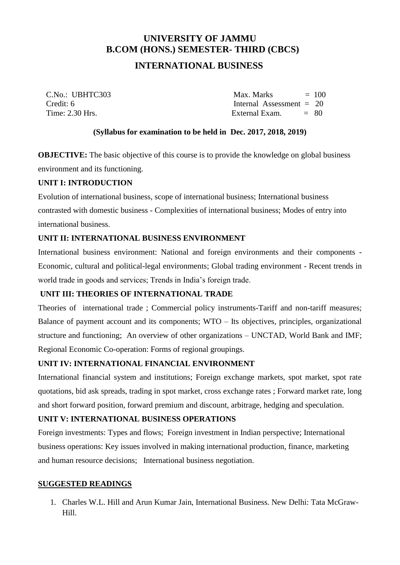# **INTERNATIONAL BUSINESS**

 $C\text{No}: \text{IIBHTC303}$  Max. Marks  $= 100$ Credit: 6 Internal Assessment = 20  $Time: 2.30$  Hrs.  $Example: 2.30$  External Exam.  $= 80$ 

### **(Syllabus for examination to be held in Dec. 2017, 2018, 2019)**

**OBJECTIVE:** The basic objective of this course is to provide the knowledge on global business environment and its functioning.

#### **UNIT I: INTRODUCTION**

Evolution of international business, scope of international business; International business contrasted with domestic business - Complexities of international business; Modes of entry into international business.

# **UNIT II: INTERNATIONAL BUSINESS ENVIRONMENT**

International business environment: National and foreign environments and their components - Economic, cultural and political-legal environments; Global trading environment - Recent trends in world trade in goods and services; Trends in India's foreign trade.

# **UNIT III: THEORIES OF INTERNATIONAL TRADE**

Theories of international trade ; Commercial policy instruments-Tariff and non-tariff measures; Balance of payment account and its components; WTO – Its objectives, principles, organizational structure and functioning; An overview of other organizations – UNCTAD, World Bank and IMF; Regional Economic Co-operation: Forms of regional groupings.

# **UNIT IV: INTERNATIONAL FINANCIAL ENVIRONMENT**

International financial system and institutions; Foreign exchange markets, spot market, spot rate quotations, bid ask spreads, trading in spot market, cross exchange rates ; Forward market rate, long and short forward position, forward premium and discount, arbitrage, hedging and speculation.

# **UNIT V: INTERNATIONAL BUSINESS OPERATIONS**

Foreign investments: Types and flows; Foreign investment in Indian perspective; International business operations: Key issues involved in making international production, finance, marketing and human resource decisions; International business negotiation.

#### **SUGGESTED READINGS**

1. Charles W.L. Hill and Arun Kumar Jain, International Business. New Delhi: Tata McGraw-Hill.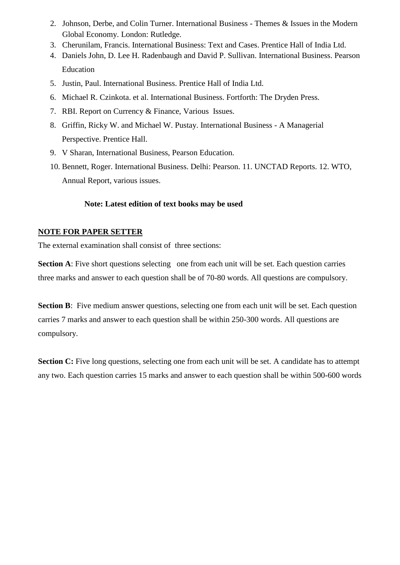- 2. Johnson, Derbe, and Colin Turner. International Business Themes & Issues in the Modern Global Economy. London: Rutledge.
- 3. Cherunilam, Francis. International Business: Text and Cases. Prentice Hall of India Ltd.
- 4. Daniels John, D. Lee H. Radenbaugh and David P. Sullivan. International Business. Pearson Education
- 5. Justin, Paul. International Business. Prentice Hall of India Ltd.
- 6. Michael R. Czinkota. et al. International Business. Fortforth: The Dryden Press.
- 7. RBI. Report on Currency & Finance, Various Issues.
- 8. Griffin, Ricky W. and Michael W. Pustay. International Business A Managerial Perspective. Prentice Hall.
- 9. V Sharan, International Business, Pearson Education.
- 10. Bennett, Roger. International Business. Delhi: Pearson. 11. UNCTAD Reports. 12. WTO, Annual Report, various issues.

# **Note: Latest edition of text books may be used**

# **NOTE FOR PAPER SETTER**

The external examination shall consist of three sections:

**Section A**: Five short questions selecting one from each unit will be set. Each question carries three marks and answer to each question shall be of 70-80 words. All questions are compulsory.

**Section B**: Five medium answer questions, selecting one from each unit will be set. Each question carries 7 marks and answer to each question shall be within 250-300 words. All questions are compulsory.

**Section C:** Five long questions, selecting one from each unit will be set. A candidate has to attempt any two. Each question carries 15 marks and answer to each question shall be within 500-600 words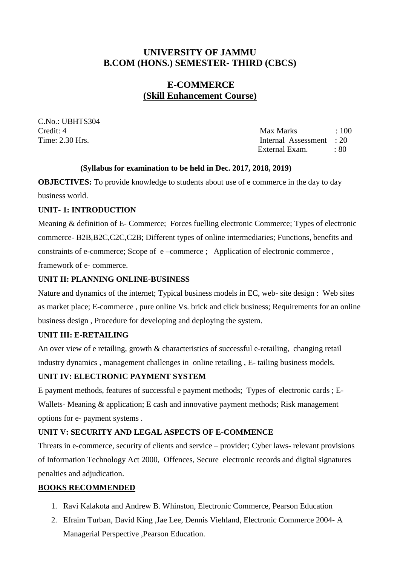# **E-COMMERCE (Skill Enhancement Course)**

C.No.: UBHTS304

Credit: 4 Max Marks : 100 Time: 2.30 Hrs. Internal Assessment : 20 External Exam. : 80

# **(Syllabus for examination to be held in Dec. 2017, 2018, 2019)**

**OBJECTIVES:** To provide knowledge to students about use of e commerce in the day to day business world.

# **UNIT- 1: INTRODUCTION**

Meaning & definition of E- Commerce; Forces fuelling electronic Commerce; Types of electronic commerce- B2B,B2C,C2C,C2B; Different types of online intermediaries; Functions, benefits and constraints of e-commerce; Scope of e –commerce ; Application of electronic commerce , framework of e- commerce.

# **UNIT II: PLANNING ONLINE-BUSINESS**

Nature and dynamics of the internet; Typical business models in EC, web- site design : Web sites as market place; E-commerce , pure online Vs. brick and click business; Requirements for an online business design , Procedure for developing and deploying the system.

# **UNIT III: E-RETAILING**

An over view of e retailing, growth & characteristics of successful e-retailing, changing retail industry dynamics , management challenges in online retailing , E- tailing business models.

# **UNIT IV: ELECTRONIC PAYMENT SYSTEM**

E payment methods, features of successful e payment methods; Types of electronic cards ; E-Wallets- Meaning & application; E cash and innovative payment methods; Risk management options for e- payment systems .

# **UNIT V: SECURITY AND LEGAL ASPECTS OF E-COMMENCE**

Threats in e-commerce, security of clients and service – provider; Cyber laws- relevant provisions of Information Technology Act 2000, Offences, Secure electronic records and digital signatures penalties and adjudication.

# **BOOKS RECOMMENDED**

- 1. Ravi Kalakota and Andrew B. Whinston, Electronic Commerce, Pearson Education
- 2. Efraim Turban, David King ,Jae Lee, Dennis Viehland, Electronic Commerce 2004- A Managerial Perspective ,Pearson Education.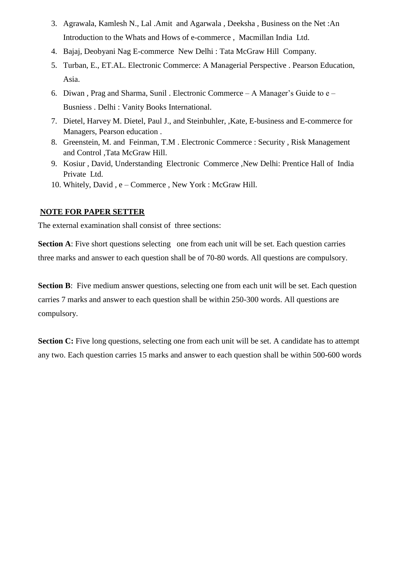- 3. Agrawala, Kamlesh N., Lal .Amit and Agarwala , Deeksha , Business on the Net :An Introduction to the Whats and Hows of e-commerce , Macmillan India Ltd.
- 4. Bajaj, Deobyani Nag E-commerce New Delhi : Tata McGraw Hill Company.
- 5. Turban, E., ET.AL. Electronic Commerce: A Managerial Perspective . Pearson Education, Asia.
- 6. Diwan , Prag and Sharma, Sunil . Electronic Commerce A Manager's Guide to e Busniess . Delhi : Vanity Books International.
- 7. Dietel, Harvey M. Dietel, Paul J., and Steinbuhler, ,Kate, E-business and E-commerce for Managers, Pearson education .
- 8. Greenstein, M. and Feinman, T.M . Electronic Commerce : Security , Risk Management and Control ,Tata McGraw Hill.
- 9. Kosiur , David, Understanding Electronic Commerce ,New Delhi: Prentice Hall of India Private Ltd.
- 10. Whitely, David , e Commerce , New York : McGraw Hill.

# **NOTE FOR PAPER SETTER**

The external examination shall consist of three sections:

**Section A**: Five short questions selecting one from each unit will be set. Each question carries three marks and answer to each question shall be of 70-80 words. All questions are compulsory.

**Section B**: Five medium answer questions, selecting one from each unit will be set. Each question carries 7 marks and answer to each question shall be within 250-300 words. All questions are compulsory.

**Section C:** Five long questions, selecting one from each unit will be set. A candidate has to attempt any two. Each question carries 15 marks and answer to each question shall be within 500-600 words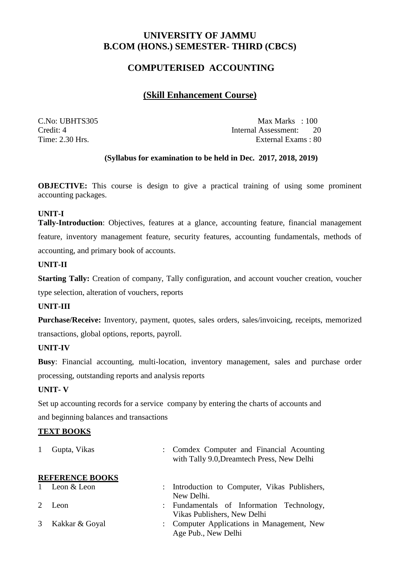# **COMPUTERISED ACCOUNTING**

# **(Skill Enhancement Course)**

C.No: UBHTS305 Max Marks : 100 Credit: 4 Internal Assessment: 20<br>Time: 2.30 Hrs. External Exams : 80 External Exams : 80

# **(Syllabus for examination to be held in Dec. 2017, 2018, 2019)**

**OBJECTIVE:** This course is design to give a practical training of using some prominent accounting packages.

### **UNIT-I**

**Tally-Introduction**: Objectives, features at a glance, accounting feature, financial management feature, inventory management feature, security features, accounting fundamentals, methods of accounting, and primary book of accounts.

### **UNIT-II**

**Starting Tally:** Creation of company, Tally configuration, and account voucher creation, voucher type selection, alteration of vouchers, reports

### **UNIT-III**

**Purchase/Receive:** Inventory, payment, quotes, sales orders, sales/invoicing, receipts, memorized transactions, global options, reports, payroll.

# **UNIT-IV**

**Busy**: Financial accounting, multi-location, inventory management, sales and purchase order processing, outstanding reports and analysis reports

#### **UNIT- V**

Set up accounting records for a service company by entering the charts of accounts and and beginning balances and transactions

#### **TEXT BOOKS**

|             | Gupta, Vikas           |                           | : Comdex Computer and Financial Acounting<br>with Tally 9.0, Dreamtech Press, New Delhi |
|-------------|------------------------|---------------------------|-----------------------------------------------------------------------------------------|
|             | <b>REFERENCE BOOKS</b> |                           |                                                                                         |
|             | Leon & Leon            | $\mathbb{R}^{\mathbb{Z}}$ | Introduction to Computer, Vikas Publishers,                                             |
|             |                        |                           | New Delhi.                                                                              |
| $2^{\circ}$ | Leon                   |                           | : Fundamentals of Information Technology,                                               |
|             |                        |                           | Vikas Publishers, New Delhi                                                             |
|             | Kakkar & Goyal         |                           | : Computer Applications in Management, New                                              |
|             |                        |                           | Age Pub., New Delhi                                                                     |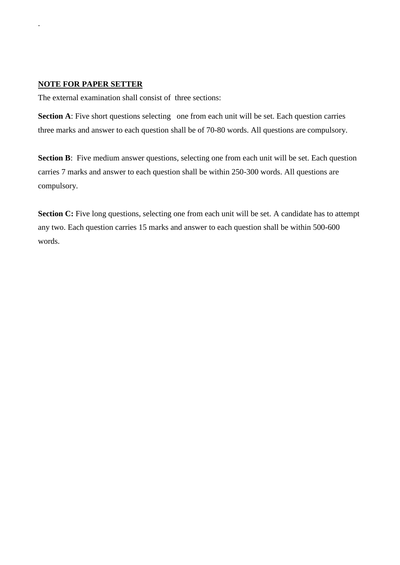#### **NOTE FOR PAPER SETTER**

.

The external examination shall consist of three sections:

**Section A**: Five short questions selecting one from each unit will be set. Each question carries three marks and answer to each question shall be of 70-80 words. All questions are compulsory.

**Section B**: Five medium answer questions, selecting one from each unit will be set. Each question carries 7 marks and answer to each question shall be within 250-300 words. All questions are compulsory.

**Section C:** Five long questions, selecting one from each unit will be set. A candidate has to attempt any two. Each question carries 15 marks and answer to each question shall be within 500-600 words.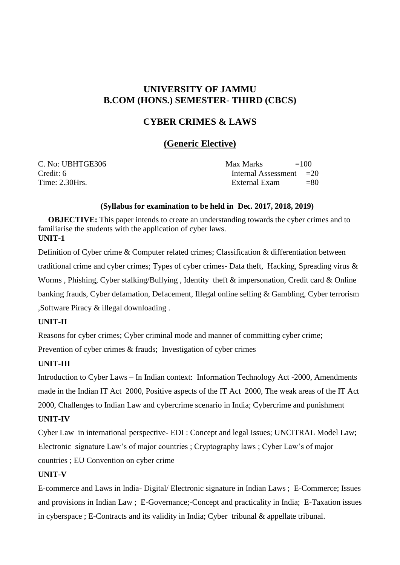# **CYBER CRIMES & LAWS**

# **(Generic Elective)**

| C. No: UBHTGE306 | Max Marks                 | $=100$ |
|------------------|---------------------------|--------|
| Credit: 6        | Internal Assessment $=20$ |        |
| Time: 2.30Hrs.   | External Exam             | $= 80$ |

#### **(Syllabus for examination to be held in Dec. 2017, 2018, 2019)**

**OBJECTIVE:** This paper intends to create an understanding towards the cyber crimes and to familiarise the students with the application of cyber laws. **UNIT-1**

Definition of Cyber crime & Computer related crimes; Classification & differentiation between traditional crime and cyber crimes; Types of cyber crimes- Data theft, Hacking, Spreading virus & Worms , Phishing, Cyber stalking/Bullying , Identity theft & impersonation, Credit card & Online banking frauds, Cyber defamation, Defacement, Illegal online selling & Gambling, Cyber terrorism ,Software Piracy & illegal downloading .

#### **UNIT-II**

Reasons for cyber crimes; Cyber criminal mode and manner of committing cyber crime;

Prevention of cyber crimes & frauds; Investigation of cyber crimes

# **UNIT-III**

Introduction to Cyber Laws – In Indian context: Information Technology Act -2000, Amendments made in the Indian IT Act 2000, Positive aspects of the IT Act 2000, The weak areas of the IT Act 2000, Challenges to Indian Law and cybercrime scenario in India; Cybercrime and punishment

# **UNIT-IV**

Cyber Law in international perspective- EDI : Concept and legal Issues; UNCITRAL Model Law; Electronic signature Law's of major countries ; Cryptography laws ; Cyber Law's of major countries ; EU Convention on cyber crime

### **UNIT-V**

E-commerce and Laws in India- Digital/ Electronic signature in Indian Laws ; E-Commerce; Issues and provisions in Indian Law ; E-Governance;-Concept and practicality in India; E-Taxation issues in cyberspace ; E-Contracts and its validity in India; Cyber tribunal & appellate tribunal.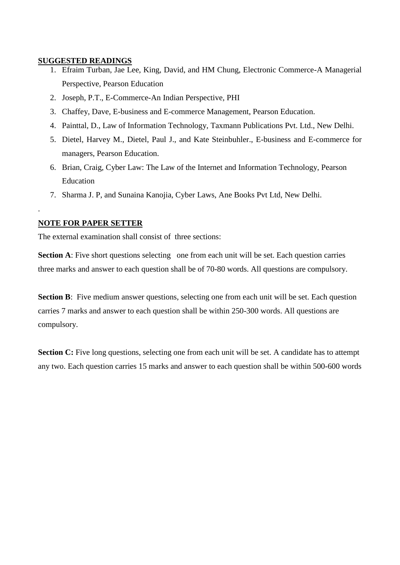#### **SUGGESTED READINGS**

- 1. Efraim Turban, Jae Lee, King, David, and HM Chung, Electronic Commerce-A Managerial Perspective, Pearson Education
- 2. Joseph, P.T., E-Commerce-An Indian Perspective, PHI
- 3. Chaffey, Dave, E-business and E-commerce Management, Pearson Education.
- 4. Painttal, D., Law of Information Technology, Taxmann Publications Pvt. Ltd., New Delhi.
- 5. Dietel, Harvey M., Dietel, Paul J., and Kate Steinbuhler., E-business and E-commerce for managers, Pearson Education.
- 6. Brian, Craig, Cyber Law: The Law of the Internet and Information Technology, Pearson **Education**
- 7. Sharma J. P, and Sunaina Kanojia, Cyber Laws, Ane Books Pvt Ltd, New Delhi.

### **NOTE FOR PAPER SETTER**

.

The external examination shall consist of three sections:

**Section A**: Five short questions selecting one from each unit will be set. Each question carries three marks and answer to each question shall be of 70-80 words. All questions are compulsory.

**Section B**: Five medium answer questions, selecting one from each unit will be set. Each question carries 7 marks and answer to each question shall be within 250-300 words. All questions are compulsory.

**Section C:** Five long questions, selecting one from each unit will be set. A candidate has to attempt any two. Each question carries 15 marks and answer to each question shall be within 500-600 words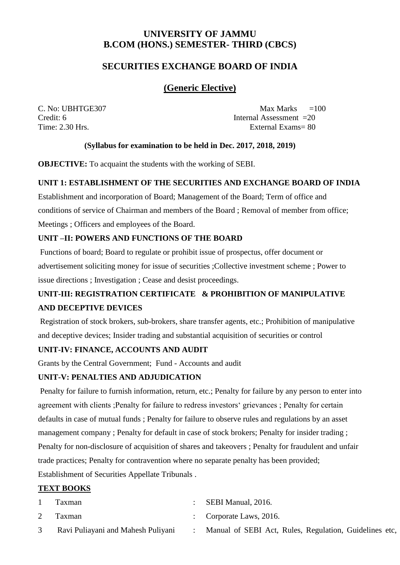# **SECURITIES EXCHANGE BOARD OF INDIA**

# **(Generic Elective)**

 $C. No: UBHTGE307$  Max Marks  $=100$ Credit: 6 Internal Assessment =20 Time: 2.30 Hrs. **External Exams** = 80

# **(Syllabus for examination to be held in Dec. 2017, 2018, 2019)**

**OBJECTIVE:** To acquaint the students with the working of SEBI.

### **UNIT 1: ESTABLISHMENT OF THE SECURITIES AND EXCHANGE BOARD OF INDIA**

Establishment and incorporation of Board; Management of the Board; Term of office and conditions of service of Chairman and members of the Board ; Removal of member from office; Meetings ; Officers and employees of the Board.

# **UNIT –II: POWERS AND FUNCTIONS OF THE BOARD**

Functions of board; Board to regulate or prohibit issue of prospectus, offer document or advertisement soliciting money for issue of securities ;Collective investment scheme ; Power to issue directions ; Investigation ; Cease and desist proceedings.

# **UNIT-III: REGISTRATION CERTIFICATE & PROHIBITION OF MANIPULATIVE AND DECEPTIVE DEVICES**

Registration of stock brokers, sub-brokers, share transfer agents, etc.; Prohibition of manipulative and deceptive devices; Insider trading and substantial acquisition of securities or control

# **UNIT-IV: FINANCE, ACCOUNTS AND AUDIT**

Grants by the Central Government; Fund - Accounts and audit

#### **UNIT-V: PENALTIES AND ADJUDICATION**

Penalty for failure to furnish information, return, etc.; Penalty for failure by any person to enter into agreement with clients ;Penalty for failure to redress investors' grievances ; Penalty for certain defaults in case of mutual funds ; Penalty for failure to observe rules and regulations by an asset management company ; Penalty for default in case of stock brokers; Penalty for insider trading ; Penalty for non-disclosure of acquisition of shares and takeovers ; Penalty for fraudulent and unfair trade practices; Penalty for contravention where no separate penalty has been provided; Establishment of Securities Appellate Tribunals .

### **TEXT BOOKS**

| Taxman                             | SEBI Manual, 2016.                                     |
|------------------------------------|--------------------------------------------------------|
| Taxman                             | : Corporate Laws, 2016.                                |
| Ravi Puliayani and Mahesh Puliyani | Manual of SEBI Act, Rules, Regulation, Guidelines etc, |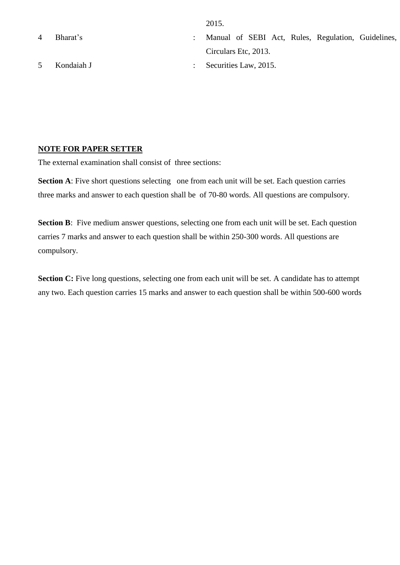2015.

4 Bharat's : Manual of SEBI Act, Rules, Regulation, Guidelines, Circulars Etc, 2013. 5 Kondaiah J : Securities Law, 2015.

# **NOTE FOR PAPER SETTER**

The external examination shall consist of three sections:

**Section A**: Five short questions selecting one from each unit will be set. Each question carries three marks and answer to each question shall be of 70-80 words. All questions are compulsory.

**Section B**: Five medium answer questions, selecting one from each unit will be set. Each question carries 7 marks and answer to each question shall be within 250-300 words. All questions are compulsory.

**Section C:** Five long questions, selecting one from each unit will be set. A candidate has to attempt any two. Each question carries 15 marks and answer to each question shall be within 500-600 words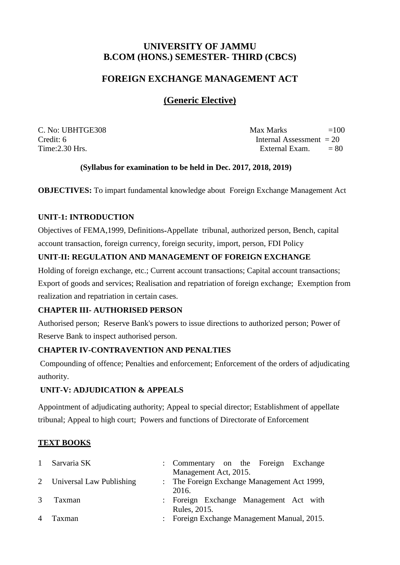# **FOREIGN EXCHANGE MANAGEMENT ACT**

# **(Generic Elective)**

 $C. No: UBHTGE308$   $=100$  $C_{\text{redit}}$ : 6 Internal Assessment = 20  $Time: 2.30 Hrs.$  External Exam.  $= 80$ 

# **(Syllabus for examination to be held in Dec. 2017, 2018, 2019)**

**OBJECTIVES:** To impart fundamental knowledge about Foreign Exchange Management Act

# **UNIT-1: INTRODUCTION**

Objectives of FEMA,1999, Definitions**-**Appellate tribunal, authorized person, Bench, capital account transaction, foreign currency, foreign security, import, person, FDI Policy

# **UNIT-II: REGULATION AND MANAGEMENT OF FOREIGN EXCHANGE**

Holding of foreign exchange, etc.; Current account transactions; Capital account transactions; Export of goods and services; Realisation and repatriation of foreign exchange; Exemption from realization and repatriation in certain cases.

# **CHAPTER III- AUTHORISED PERSON**

Authorised person; Reserve Bank's powers to issue directions to authorized person; Power of Reserve Bank to inspect authorised person.

# **CHAPTER IV-CONTRAVENTION AND PENALTIES**

Compounding of offence; Penalties and enforcement; Enforcement of the orders of adjudicating authority.

# **UNIT-V: ADJUDICATION & APPEALS**

Appointment of adjudicating authority; Appeal to special director; Establishment of appellate tribunal; Appeal to high court; Powers and functions of Directorate of Enforcement

# **TEXT BOOKS**

| $\mathbf{1}$   | Sarvaria SK                | : Commentary on the Foreign Exchange        |
|----------------|----------------------------|---------------------------------------------|
|                |                            | Management Act, 2015.                       |
|                | 2 Universal Law Publishing | : The Foreign Exchange Management Act 1999, |
|                |                            | 2016.                                       |
| 3              | Taxman                     | : Foreign Exchange Management Act with      |
|                |                            | Rules, 2015.                                |
| $\overline{4}$ | Taxman                     | : Foreign Exchange Management Manual, 2015. |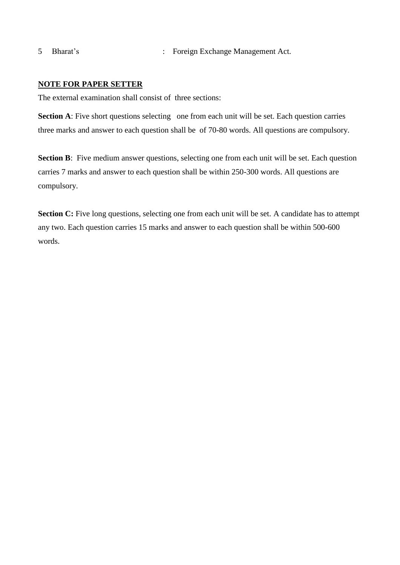5 Bharat's : Foreign Exchange Management Act.

# **NOTE FOR PAPER SETTER**

The external examination shall consist of three sections:

**Section A**: Five short questions selecting one from each unit will be set. Each question carries three marks and answer to each question shall be of 70-80 words. All questions are compulsory.

**Section B**: Five medium answer questions, selecting one from each unit will be set. Each question carries 7 marks and answer to each question shall be within 250-300 words. All questions are compulsory.

**Section C:** Five long questions, selecting one from each unit will be set. A candidate has to attempt any two. Each question carries 15 marks and answer to each question shall be within 500-600 words.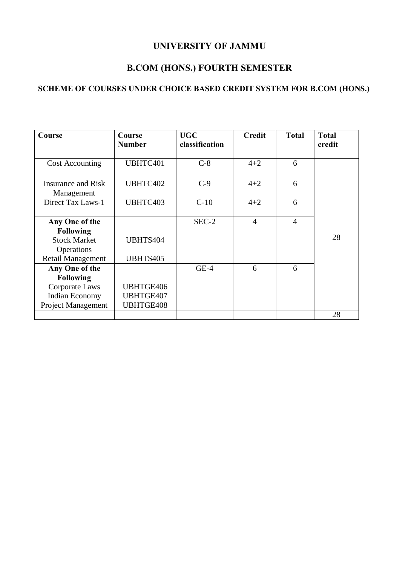# **UNIVERSITY OF JAMMU**

# **B.COM (HONS.) FOURTH SEMESTER**

# **SCHEME OF COURSES UNDER CHOICE BASED CREDIT SYSTEM FOR B.COM (HONS.)**

| Course                                  | Course<br><b>Number</b> | <b>UGC</b><br>classification | <b>Credit</b>  | <b>Total</b>   | <b>Total</b><br>credit |
|-----------------------------------------|-------------------------|------------------------------|----------------|----------------|------------------------|
|                                         |                         |                              |                |                |                        |
| <b>Cost Accounting</b>                  | UBHTC401                | $C-8$                        | $4 + 2$        | 6              |                        |
| <b>Insurance and Risk</b><br>Management | UBHTC402                | $C-9$                        | $4 + 2$        | 6              |                        |
| Direct Tax Laws-1                       | UBHTC403                | $C-10$                       | $4 + 2$        | 6              |                        |
| Any One of the                          |                         | $SEC-2$                      | $\overline{4}$ | $\overline{4}$ |                        |
| <b>Following</b>                        |                         |                              |                |                |                        |
| <b>Stock Market</b>                     | UBHTS404                |                              |                |                | 28                     |
| Operations                              |                         |                              |                |                |                        |
| <b>Retail Management</b>                | UBHTS405                |                              |                |                |                        |
| Any One of the                          |                         | $GE-4$                       | 6              | 6              |                        |
| <b>Following</b>                        |                         |                              |                |                |                        |
| Corporate Laws                          | UBHTGE406               |                              |                |                |                        |
| <b>Indian Economy</b>                   | UBHTGE407               |                              |                |                |                        |
| Project Management                      | <b>UBHTGE408</b>        |                              |                |                |                        |
|                                         |                         |                              |                |                | 28                     |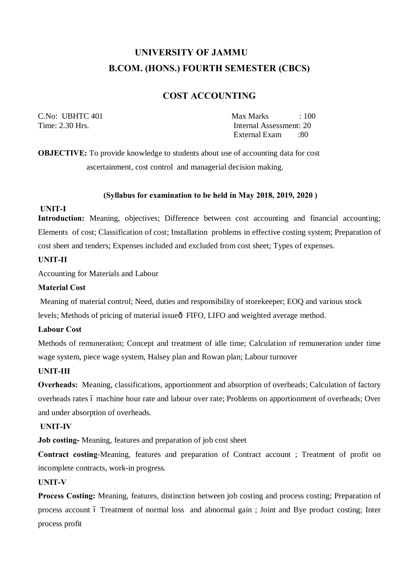# **UNIVERSITY OF JAMMU B.COM. (HONS.) FOURTH SEMESTER (CBCS)**

# **COST ACCOUNTING**

C.No: UBHTC 401 Max Marks : 100 Time: 2.30 Hrs. **Internal Assessment: 20** External Exam :80

**OBJECTIVE:** To provide knowledge to students about use of accounting data for cost ascertainment, cost control and managerial decision making.

#### **(Syllabus for examination to be held in May 2018, 2019, 2020 )**

#### **UNIT-I**

**Introduction:** Meaning, objectives; Difference between cost accounting and financial accounting; Elements of cost; Classification of cost; Installation problems in effective costing system; Preparation of cost sheet and tenders; Expenses included and excluded from cost sheet; Types of expenses.

#### **UNIT-II**

Accounting for Materials and Labour

#### **Material Cost**

Meaning of material control; Need, duties and responsibility of storekeeper; EOQ and various stock levels; Methods of pricing of material issue $\delta$  FIFO, LIFO and weighted average method.

#### **Labour Cost**

Methods of remuneration; Concept and treatment of idle time; Calculation of remuneration under time wage system, piece wage system, Halsey plan and Rowan plan; Labour turnover

#### **UNIT-III**

**Overheads:** Meaning, classifications, apportionment and absorption of overheads; Calculation of factory overheads rates 6 machine hour rate and labour over rate; Problems on apportionment of overheads; Over and under absorption of overheads.

#### **UNIT-IV**

**Job costing-** Meaning, features and preparation of job cost sheet

**Contract costing**-Meaning, features and preparation of Contract account ; Treatment of profit on incomplete contracts, work-in progress.

#### **UNIT-V**

**Process Costing:** Meaning, features, distinction between job costing and process costing; Preparation of process account 6 Treatment of normal loss and abnormal gain; Joint and Bye product costing; Inter process profit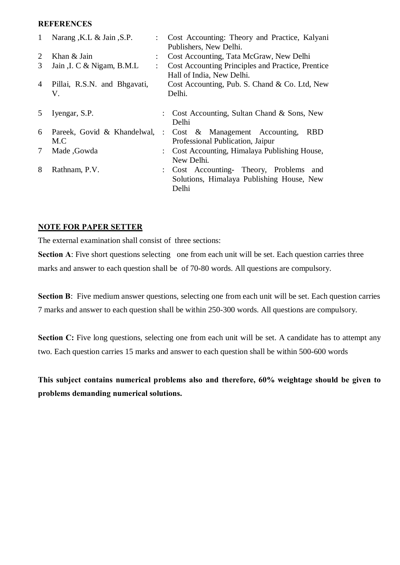#### **REFERENCES**

| Narang, K.L & Jain, S.P.    |                                               | Cost Accounting: Theory and Practice, Kalyani     |
|-----------------------------|-----------------------------------------------|---------------------------------------------------|
|                             |                                               | Publishers, New Delhi.                            |
| Khan & Jain                 |                                               | Cost Accounting, Tata McGraw, New Delhi           |
| Jain , I. C & Nigam, B.M.L  |                                               | Cost Accounting Principles and Practice, Prentice |
|                             |                                               | Hall of India, New Delhi.                         |
|                             |                                               | Cost Accounting, Pub. S. Chand & Co. Ltd, New     |
| V.                          |                                               | Delhi.                                            |
|                             |                                               |                                                   |
|                             |                                               | : Cost Accounting, Sultan Chand & Sons, New       |
|                             |                                               | Delhi                                             |
| Pareek, Govid & Khandelwal, | $\mathbb{R}^n$                                | Cost & Management Accounting,<br><b>RBD</b>       |
| M.C                         |                                               | Professional Publication, Jaipur                  |
| Made, Gowda                 |                                               | Cost Accounting, Himalaya Publishing House,       |
|                             |                                               | New Delhi.                                        |
| Rathnam, P.V.               |                                               | Cost Accounting- Theory, Problems and             |
|                             |                                               | Solutions, Himalaya Publishing House, New         |
|                             |                                               | Delhi                                             |
|                             | Pillai, R.S.N. and Bhgavati,<br>Iyengar, S.P. | $\ddot{\phantom{a}}$<br>$\ddot{\phantom{a}}$      |

### **NOTE FOR PAPER SETTER**

The external examination shall consist of three sections:

**Section A:** Five short questions selecting one from each unit will be set. Each question carries three marks and answer to each question shall be of 70-80 words. All questions are compulsory.

**Section B**: Five medium answer questions, selecting one from each unit will be set. Each question carries 7 marks and answer to each question shall be within 250-300 words. All questions are compulsory.

**Section C:** Five long questions, selecting one from each unit will be set. A candidate has to attempt any two. Each question carries 15 marks and answer to each question shall be within 500-600 words

**This subject contains numerical problems also and therefore, 60% weightage should be given to problems demanding numerical solutions.**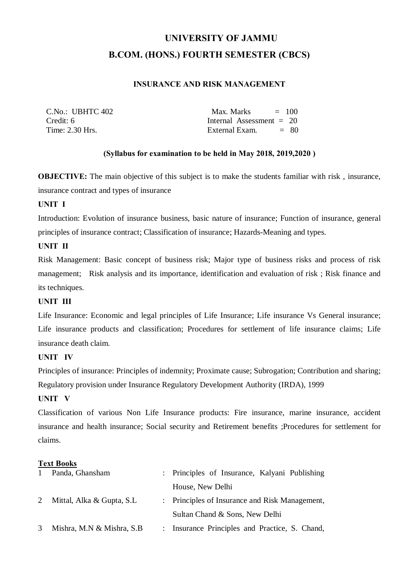# **UNIVERSITY OF JAMMU B.COM. (HONS.) FOURTH SEMESTER (CBCS)**

# **INSURANCE AND RISK MANAGEMENT**

| C.No.: UBHTC 402 | Max. Marks<br>$= 100$      |
|------------------|----------------------------|
| Credit: 6        | Internal Assessment $= 20$ |
| Time: 2.30 Hrs.  | $= 80$<br>External Exam.   |

# **(Syllabus for examination to be held in May 2018, 2019,2020 )**

**OBJECTIVE:** The main objective of this subject is to make the students familiar with risk, insurance, insurance contract and types of insurance

### **UNIT I**

Introduction: Evolution of insurance business, basic nature of insurance; Function of insurance, general principles of insurance contract; Classification of insurance; Hazards-Meaning and types.

### **UNIT II**

Risk Management: Basic concept of business risk; Major type of business risks and process of risk management; Risk analysis and its importance, identification and evaluation of risk ; Risk finance and its techniques.

# **UNIT III**

Life Insurance: Economic and legal principles of Life Insurance; Life insurance Vs General insurance; Life insurance products and classification; Procedures for settlement of life insurance claims; Life insurance death claim.

### **UNIT IV**

Principles of insurance: Principles of indemnity; Proximate cause; Subrogation; Contribution and sharing; Regulatory provision under Insurance Regulatory Development Authority (IRDA), 1999

#### **UNIT V**

Classification of various Non Life Insurance products: Fire insurance, marine insurance, accident insurance and health insurance; Social security and Retirement benefits ;Procedures for settlement for claims.

#### **Text Books**

|   | Panda, Ghansham           |                      | : Principles of Insurance, Kalyani Publishing  |
|---|---------------------------|----------------------|------------------------------------------------|
|   |                           |                      | House, New Delhi                               |
|   | Mittal, Alka & Gupta, S.L |                      | : Principles of Insurance and Risk Management, |
|   |                           |                      | Sultan Chand & Sons, New Delhi                 |
| 3 | Mishra, M.N & Mishra, S.B | $\ddot{\phantom{0}}$ | Insurance Principles and Practice, S. Chand,   |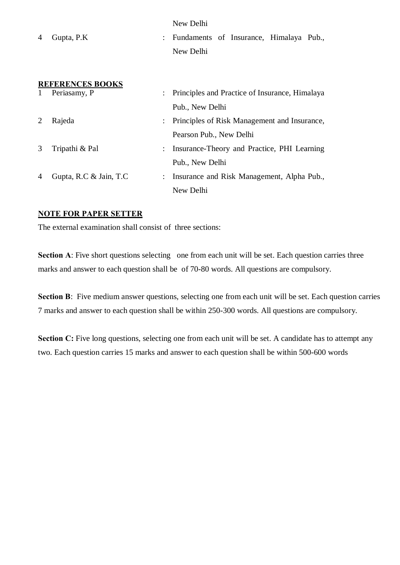| 4 | Gupta, P.K                              | New Delhi<br>: Fundaments of Insurance, Himalaya Pub.,<br>New Delhi |
|---|-----------------------------------------|---------------------------------------------------------------------|
|   | <b>REFERENCES BOOKS</b><br>Periasamy, P | Principles and Practice of Insurance, Himalaya                      |
|   |                                         | Pub., New Delhi                                                     |
|   | Rajeda                                  | : Principles of Risk Management and Insurance,                      |
|   |                                         | Pearson Pub., New Delhi                                             |
|   | Tripathi & Pal                          | Insurance-Theory and Practice, PHI Learning                         |
|   |                                         | Pub., New Delhi                                                     |

# 4 Gupta, R.C & Jain, T.C : Insurance and Risk Management, Alpha Pub., New Delhi

# **NOTE FOR PAPER SETTER**

The external examination shall consist of three sections:

**Section A:** Five short questions selecting one from each unit will be set. Each question carries three marks and answer to each question shall be of 70-80 words. All questions are compulsory.

**Section B**: Five medium answer questions, selecting one from each unit will be set. Each question carries 7 marks and answer to each question shall be within 250-300 words. All questions are compulsory.

**Section C:** Five long questions, selecting one from each unit will be set. A candidate has to attempt any two. Each question carries 15 marks and answer to each question shall be within 500-600 words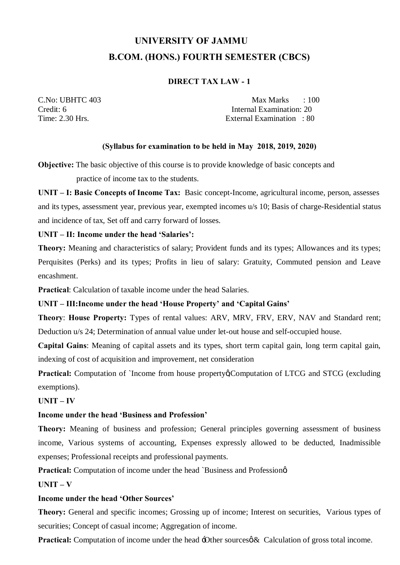# **UNIVERSITY OF JAMMU B.COM. (HONS.) FOURTH SEMESTER (CBCS)**

# **DIRECT TAX LAW - 1**

C.No: UBHTC 403 Max Marks : 100 Credit: 6 Internal Examination: 20 Time: 2.30 Hrs. External Examination : 80

# **(Syllabus for examination to be held in May 2018, 2019, 2020)**

**Objective:** The basic objective of this course is to provide knowledge of basic concepts and practice of income tax to the students.

**UNIT – I: Basic Concepts of Income Tax:** Basic concept-Income, agricultural income, person, assesses and its types, assessment year, previous year, exempted incomes u/s 10; Basis of charge-Residential status and incidence of tax, Set off and carry forward of losses.

# **UNIT – II: Income under the head 'Salaries':**

**Theory:** Meaning and characteristics of salary; Provident funds and its types; Allowances and its types; Perquisites (Perks) and its types; Profits in lieu of salary: Gratuity, Commuted pension and Leave encashment.

**Practical**: Calculation of taxable income under the head Salaries.

# **UNIT – III:Income under the head 'House Property' and 'Capital Gains'**

**Theory**: **House Property:** Types of rental values: ARV, MRV, FRV, ERV, NAV and Standard rent; Deduction u/s 24; Determination of annual value under let-out house and self-occupied house.

**Capital Gains**: Meaning of capital assets and its types, short term capital gain, long term capital gain, indexing of cost of acquisition and improvement, net consideration

**Practical:** Computation of `Income from house propertyg Computation of LTCG and STCG (excluding exemptions).

# **UNIT – IV**

# **Income under the head 'Business and Profession'**

**Theory:** Meaning of business and profession; General principles governing assessment of business income, Various systems of accounting, Expenses expressly allowed to be deducted, Inadmissible expenses; Professional receipts and professional payments.

**Practical:** Computation of income under the head `Business and Professiona'.

 $\mathbf{I} \mathbf{I} \mathbf{N} \mathbf{I} \mathbf{T} - \mathbf{V}$ 

# **Income under the head 'Other Sources'**

**Theory:** General and specific incomes; Grossing up of income; Interest on securities, Various types of securities; Concept of casual income; Aggregation of income.

**Practical:** Computation of income under the head -Other sources  $\&$  Calculation of gross total income.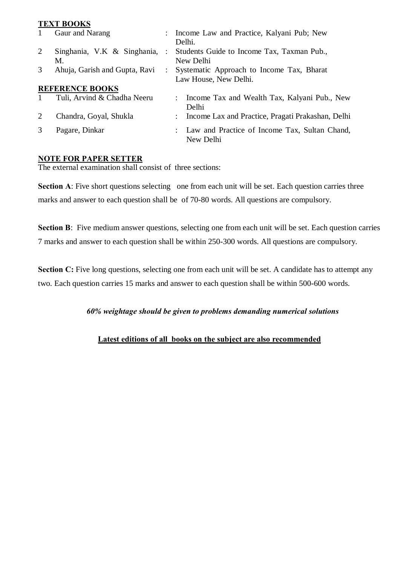#### **TEXT BOOKS**

| $\mathbf{1}$ | Gaur and Narang               | Income Law and Practice, Kalyani Pub; New         |
|--------------|-------------------------------|---------------------------------------------------|
|              |                               | Delhi.                                            |
| 2            | Singhania, V.K & Singhania,   | Students Guide to Income Tax, Taxman Pub.,        |
|              | M.                            | New Delhi                                         |
| 3            | Ahuja, Garish and Gupta, Ravi | Systematic Approach to Income Tax, Bharat         |
|              |                               | Law House, New Delhi.                             |
|              | <b>REFERENCE BOOKS</b>        |                                                   |
|              | Tuli, Arvind & Chadha Neeru   | Income Tax and Wealth Tax, Kalyani Pub., New      |
|              |                               | Delhi                                             |
| 2            | Chandra, Goyal, Shukla        | Income Lax and Practice, Pragati Prakashan, Delhi |
| 3            | Pagare, Dinkar                | : Law and Practice of Income Tax, Sultan Chand,   |
|              |                               | New Delhi                                         |

### **NOTE FOR PAPER SETTER**

The external examination shall consist of three sections:

**Section A:** Five short questions selecting one from each unit will be set. Each question carries three marks and answer to each question shall be of 70-80 words. All questions are compulsory.

**Section B**: Five medium answer questions, selecting one from each unit will be set. Each question carries 7 marks and answer to each question shall be within 250-300 words. All questions are compulsory.

**Section C:** Five long questions, selecting one from each unit will be set. A candidate has to attempt any two. Each question carries 15 marks and answer to each question shall be within 500-600 words.

# *60% weightage should be given to problems demanding numerical solutions*

# **Latest editions of all books on the subject are also recommended**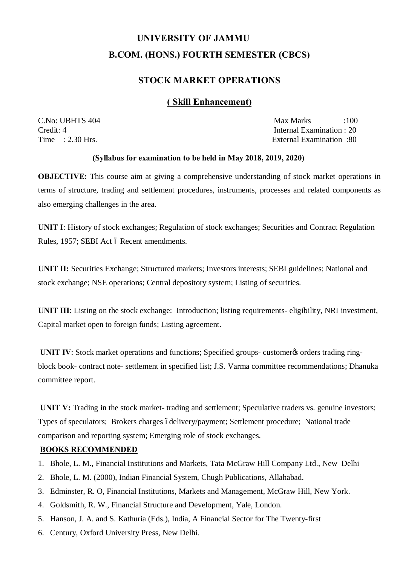# **UNIVERSITY OF JAMMU B.COM. (HONS.) FOURTH SEMESTER (CBCS)**

# **STOCK MARKET OPERATIONS**

# **( Skill Enhancement)**

C.No: UBHTS 404 Max Marks :100 Credit: 4 Internal Examination : 20<br>
Time : 2.30 Hrs. External Examination : 20<br>
External Examination : 80 External Examination :80

#### **(Syllabus for examination to be held in May 2018, 2019, 2020)**

**OBJECTIVE:** This course aim at giving a comprehensive understanding of stock market operations in terms of structure, trading and settlement procedures, instruments, processes and related components as also emerging challenges in the area.

**UNIT I**: History of stock exchanges; Regulation of stock exchanges; Securities and Contract Regulation Rules, 1957; SEBI Act ó Recent amendments.

**UNIT II:** Securities Exchange; Structured markets; Investors interests; SEBI guidelines; National and stock exchange; NSE operations; Central depository system; Listing of securities.

**UNIT III**: Listing on the stock exchange: Introduction; listing requirements- eligibility, NRI investment, Capital market open to foreign funds; Listing agreement.

**UNIT IV:** Stock market operations and functions; Specified groups- customer to orders trading ringblock book- contract note- settlement in specified list; J.S. Varma committee recommendations; Dhanuka committee report.

**UNIT V:** Trading in the stock market- trading and settlement; Speculative traders vs. genuine investors; Types of speculators; Brokers charges ódelivery/payment; Settlement procedure; National trade comparison and reporting system; Emerging role of stock exchanges.

#### **BOOKS RECOMMENDED**

- 1. Bhole, L. M., Financial Institutions and Markets, Tata McGraw Hill Company Ltd., New Delhi
- 2. Bhole, L. M. (2000), Indian Financial System, Chugh Publications, Allahabad.
- 3. Edminster, R. O, Financial Institutions, Markets and Management, McGraw Hill, New York.
- 4. Goldsmith, R. W., Financial Structure and Development, Yale, London.
- 5. Hanson, J. A. and S. Kathuria (Eds.), India, A Financial Sector for The Twenty-first
- 6. Century, Oxford University Press, New Delhi.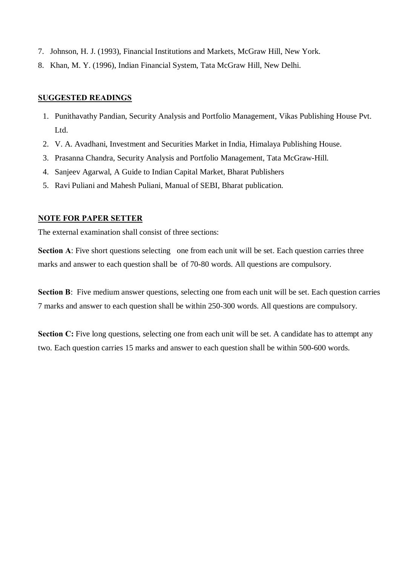- 7. Johnson, H. J. (1993), Financial Institutions and Markets, McGraw Hill, New York.
- 8. Khan, M. Y. (1996), Indian Financial System, Tata McGraw Hill, New Delhi.

### **SUGGESTED READINGS**

- 1. Punithavathy Pandian, Security Analysis and Portfolio Management, Vikas Publishing House Pvt. Ltd.
- 2. V. A. Avadhani, Investment and Securities Market in India, Himalaya Publishing House.
- 3. Prasanna Chandra, Security Analysis and Portfolio Management, Tata McGraw-Hill.
- 4. Sanjeev Agarwal, A Guide to Indian Capital Market, Bharat Publishers
- 5. Ravi Puliani and Mahesh Puliani, Manual of SEBI, Bharat publication.

#### **NOTE FOR PAPER SETTER**

The external examination shall consist of three sections:

**Section A:** Five short questions selecting one from each unit will be set. Each question carries three marks and answer to each question shall be of 70-80 words. All questions are compulsory.

**Section B:** Five medium answer questions, selecting one from each unit will be set. Each question carries 7 marks and answer to each question shall be within 250-300 words. All questions are compulsory.

**Section C:** Five long questions, selecting one from each unit will be set. A candidate has to attempt any two. Each question carries 15 marks and answer to each question shall be within 500-600 words.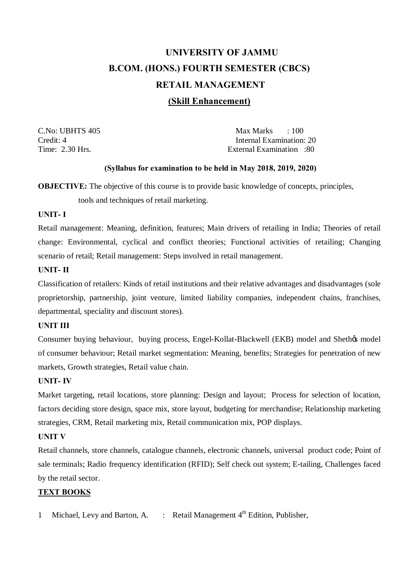# **UNIVERSITY OF JAMMU B.COM. (HONS.) FOURTH SEMESTER (CBCS) RETAIL MANAGEMENT**

# **(Skill Enhancement)**

C.No: UBHTS 405 Max Marks : 100 Credit: 4 Internal Examination: 20 Time: 2.30 Hrs. External Examination :80

### **(Syllabus for examination to be held in May 2018, 2019, 2020)**

**OBJECTIVE:** The objective of this course is to provide basic knowledge of concepts, principles,

tools and techniques of retail marketing.

### **UNIT- I**

Retail management: Meaning, definition, features; Main drivers of retailing in India; Theories of retail change: Environmental, cyclical and conflict theories; Functional activities of retailing; Changing scenario of retail; Retail management: Steps involved in retail management.

# **UNIT- II**

Classification of retailers: Kinds of retail institutions and their relative advantages and disadvantages (sole proprietorship, partnership, joint venture, limited liability companies, independent chains, franchises, departmental, speciality and discount stores).

# **UNIT III**

Consumer buying behaviour, buying process, Engel-Kollat-Blackwell (EKB) model and Shethøs model of consumer behaviour; Retail market segmentation: Meaning, benefits; Strategies for penetration of new markets, Growth strategies, Retail value chain.

# **UNIT- IV**

Market targeting, retail locations, store planning: Design and layout; Process for selection of location, factors deciding store design, space mix, store layout, budgeting for merchandise; Relationship marketing strategies, CRM, Retail marketing mix, Retail communication mix, POP displays.

# **UNIT V**

Retail channels, store channels, catalogue channels, electronic channels, universal product code; Point of sale terminals; Radio frequency identification (RFID); Self check out system; E-tailing, Challenges faced by the retail sector.

# **TEXT BOOKS**

1 Michael, Levy and Barton, A. : Retail Management 4<sup>th</sup> Edition, Publisher,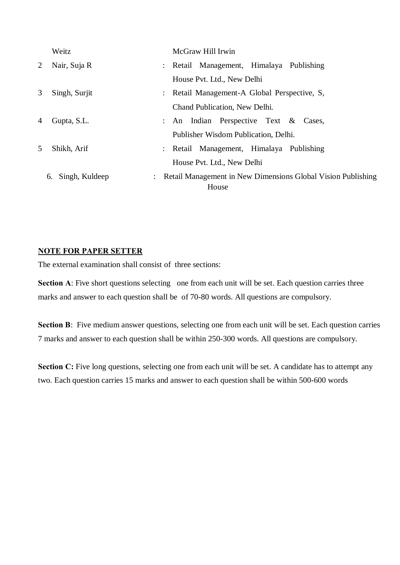|   | Weitz                | McGraw Hill Irwin                                                       |
|---|----------------------|-------------------------------------------------------------------------|
| 2 | Nair, Suja R         | : Retail Management, Himalaya Publishing                                |
|   |                      | House Pvt. Ltd., New Delhi                                              |
| 3 | Singh, Surjit        | : Retail Management-A Global Perspective, S.                            |
|   |                      | Chand Publication, New Delhi.                                           |
| 4 | Gupta, S.L.          | : An Indian Perspective Text $\&$ Cases,                                |
|   |                      | Publisher Wisdom Publication, Delhi.                                    |
| 5 | Shikh, Arif          | : Retail Management, Himalaya Publishing                                |
|   |                      | House Pvt. Ltd., New Delhi                                              |
|   | Singh, Kuldeep<br>6. | : Retail Management in New Dimensions Global Vision Publishing<br>House |

# **NOTE FOR PAPER SETTER**

The external examination shall consist of three sections:

**Section A:** Five short questions selecting one from each unit will be set. Each question carries three marks and answer to each question shall be of 70-80 words. All questions are compulsory.

Section B: Five medium answer questions, selecting one from each unit will be set. Each question carries 7 marks and answer to each question shall be within 250-300 words. All questions are compulsory.

**Section C:** Five long questions, selecting one from each unit will be set. A candidate has to attempt any two. Each question carries 15 marks and answer to each question shall be within 500-600 words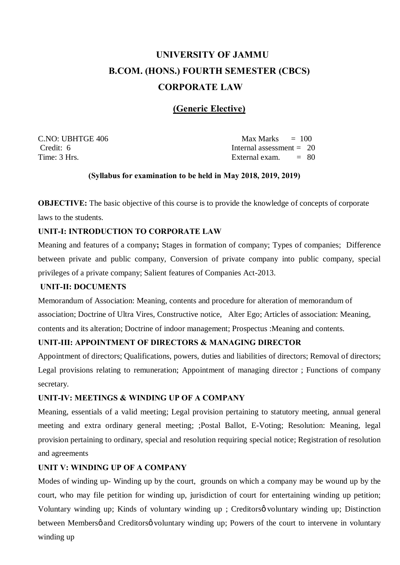# **UNIVERSITY OF JAMMU B.COM. (HONS.) FOURTH SEMESTER (CBCS) CORPORATE LAW**

# **(Generic Elective)**

 $C.NO: UBHTGE 406$  Max Marks  $= 100$ 

 $C_{\text{redit}}$ : 6 Internal assessment = 20 Time: 3 Hrs. **External exam.** = 80

### **(Syllabus for examination to be held in May 2018, 2019, 2019)**

**OBJECTIVE:** The basic objective of this course is to provide the knowledge of concepts of corporate laws to the students.

# **UNIT-I: INTRODUCTION TO CORPORATE LAW**

Meaning and features of a company**;** Stages in formation of company; Types of companies; Difference between private and public company, Conversion of private company into public company, special privileges of a private company; Salient features of Companies Act-2013.

### **UNIT-II: DOCUMENTS**

Memorandum of Association: Meaning, contents and procedure for alteration of memorandum of association; Doctrine of Ultra Vires, Constructive notice, Alter Ego; Articles of association: Meaning, contents and its alteration; Doctrine of indoor management; Prospectus :Meaning and contents.

# **UNIT-III: APPOINTMENT OF DIRECTORS & MANAGING DIRECTOR**

Appointment of directors; Qualifications, powers, duties and liabilities of directors; Removal of directors; Legal provisions relating to remuneration; Appointment of managing director ; Functions of company secretary.

#### **UNIT-IV: MEETINGS & WINDING UP OF A COMPANY**

Meaning, essentials of a valid meeting; Legal provision pertaining to statutory meeting, annual general meeting and extra ordinary general meeting; ;Postal Ballot, E-Voting; Resolution: Meaning, legal provision pertaining to ordinary, special and resolution requiring special notice; Registration of resolution and agreements

# **UNIT V: WINDING UP OF A COMPANY**

Modes of winding up- Winding up by the court, grounds on which a company may be wound up by the court, who may file petition for winding up, jurisdiction of court for entertaining winding up petition; Voluntary winding up; Kinds of voluntary winding up ; Creditorsø voluntary winding up; Distinction between Membersø and Creditorsø voluntary winding up; Powers of the court to intervene in voluntary winding up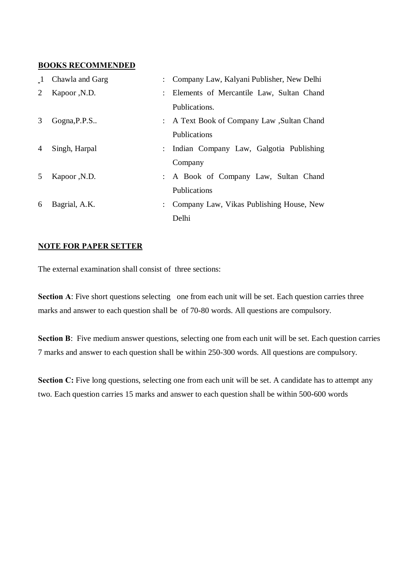#### **BOOKS RECOMMENDED**

| $\mathbf{1}$   | Chawla and Garg | : Company Law, Kalyani Publisher, New Delhi |
|----------------|-----------------|---------------------------------------------|
| 2              | Kapoor , N.D.   | : Elements of Mercantile Law, Sultan Chand  |
|                |                 | Publications.                               |
| 3              | Gogna, P.P.S    | : A Text Book of Company Law, Sultan Chand  |
|                |                 | Publications                                |
| $\overline{4}$ | Singh, Harpal   | : Indian Company Law, Galgotia Publishing   |
|                |                 | Company                                     |
| 5              | Kapoor , N.D.   | : A Book of Company Law, Sultan Chand       |
|                |                 | Publications                                |
| 6              | Bagrial, A.K.   | : Company Law, Vikas Publishing House, New  |
|                |                 | Delhi                                       |

# **NOTE FOR PAPER SETTER**

The external examination shall consist of three sections:

**Section A:** Five short questions selecting one from each unit will be set. Each question carries three marks and answer to each question shall be of 70-80 words. All questions are compulsory.

Section B: Five medium answer questions, selecting one from each unit will be set. Each question carries 7 marks and answer to each question shall be within 250-300 words. All questions are compulsory.

**Section C:** Five long questions, selecting one from each unit will be set. A candidate has to attempt any two. Each question carries 15 marks and answer to each question shall be within 500-600 words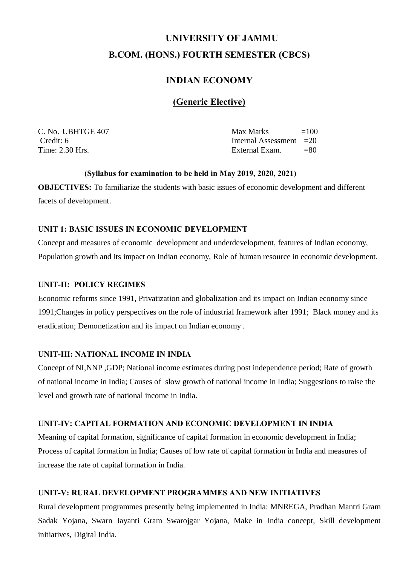# **UNIVERSITY OF JAMMU B.COM. (HONS.) FOURTH SEMESTER (CBCS)**

# **INDIAN ECONOMY**

# **(Generic Elective)**

C. No. UBHTGE  $407$  Max Marks  $=100$ Credit: 6 Internal Assessment = 20 Time: 2.30 Hrs. **External Exam.** =80

#### **(Syllabus for examination to be held in May 2019, 2020, 2021)**

**OBJECTIVES:** To familiarize the students with basic issues of economic development and different facets of development.

### **UNIT 1: BASIC ISSUES IN ECONOMIC DEVELOPMENT**

Concept and measures of economic development and underdevelopment, features of Indian economy, Population growth and its impact on Indian economy, Role of human resource in economic development.

### **UNIT-II: POLICY REGIMES**

Economic reforms since 1991, Privatization and globalization and its impact on Indian economy since 1991;Changes in policy perspectives on the role of industrial framework after 1991; Black money and its eradication; Demonetization and its impact on Indian economy .

# **UNIT-III: NATIONAL INCOME IN INDIA**

Concept of NI,NNP ,GDP; National income estimates during post independence period; Rate of growth of national income in India; Causes of slow growth of national income in India; Suggestions to raise the level and growth rate of national income in India.

### **UNIT-IV: CAPITAL FORMATION AND ECONOMIC DEVELOPMENT IN INDIA**

Meaning of capital formation, significance of capital formation in economic development in India; Process of capital formation in India; Causes of low rate of capital formation in India and measures of increase the rate of capital formation in India.

# **UNIT-V: RURAL DEVELOPMENT PROGRAMMES AND NEW INITIATIVES**

Rural development programmes presently being implemented in India: MNREGA, Pradhan Mantri Gram Sadak Yojana, Swarn Jayanti Gram Swarojgar Yojana, Make in India concept, Skill development initiatives, Digital India.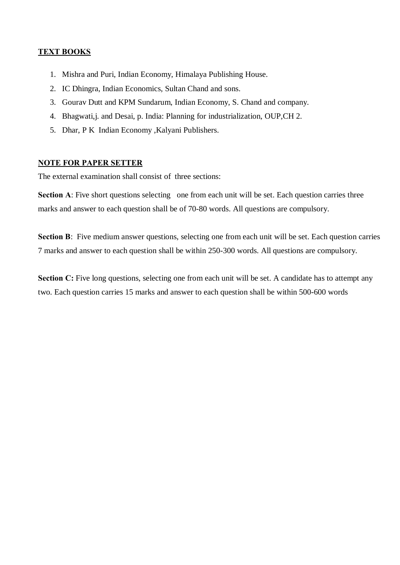# **TEXT BOOKS**

- 1. Mishra and Puri, Indian Economy, Himalaya Publishing House.
- 2. IC Dhingra, Indian Economics, Sultan Chand and sons.
- 3. Gourav Dutt and KPM Sundarum, Indian Economy, S. Chand and company.
- 4. Bhagwati,j. and Desai, p. India: Planning for industrialization, OUP,CH 2.
- 5. Dhar, P K Indian Economy ,Kalyani Publishers.

# **NOTE FOR PAPER SETTER**

The external examination shall consist of three sections:

**Section A:** Five short questions selecting one from each unit will be set. Each question carries three marks and answer to each question shall be of 70-80 words. All questions are compulsory.

**Section B**: Five medium answer questions, selecting one from each unit will be set. Each question carries 7 marks and answer to each question shall be within 250-300 words. All questions are compulsory.

**Section C:** Five long questions, selecting one from each unit will be set. A candidate has to attempt any two. Each question carries 15 marks and answer to each question shall be within 500-600 words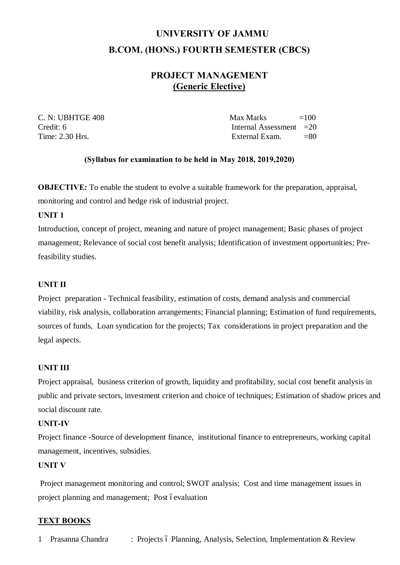# **UNIVERSITY OF JAMMU B.COM. (HONS.) FOURTH SEMESTER (CBCS)**

# **PROJECT MANAGEMENT (Generic Elective)**

 $C. N: UBHTGE 408$  Max Marks  $=100$ Credit: 6 Internal Assessment = 20 Time:  $2.30$  Hrs.  $= 80$ 

# **(Syllabus for examination to be held in May 2018, 2019,2020)**

**OBJECTIVE:** To enable the student to evolve a suitable framework for the preparation, appraisal, monitoring and control and hedge risk of industrial project.

### **UNIT 1**

Introduction, concept of project, meaning and nature of project management; Basic phases of project management; Relevance of social cost benefit analysis; Identification of investment opportunities; Prefeasibility studies.

# **UNIT II**

Project preparation - Technical feasibility, estimation of costs, demand analysis and commercial viability, risk analysis, collaboration arrangements; Financial planning; Estimation of fund requirements, sources of funds, Loan syndication for the projects; Tax considerations in project preparation and the legal aspects.

# **UNIT III**

Project appraisal, business criterion of growth, liquidity and profitability, social cost benefit analysis in public and private sectors, investment criterion and choice of techniques; Estimation of shadow prices and social discount rate.

#### **UNIT-IV**

Project finance -Source of development finance, institutional finance to entrepreneurs, working capital management, incentives, subsidies.

#### **UNIT V**

Project management monitoring and control; SWOT analysis; Cost and time management issues in project planning and management; Post óevaluation

# **TEXT BOOKS**

1 Prasanna Chandra : Projects ó Planning, Analysis, Selection, Implementation & Review